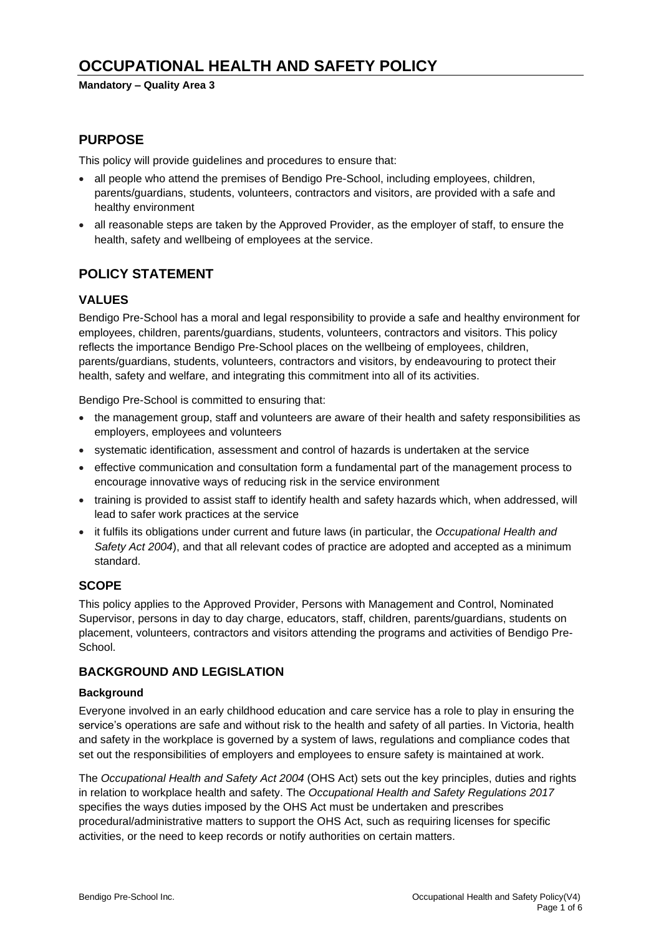# **OCCUPATIONAL HEALTH AND SAFETY POLICY**

**Mandatory – Quality Area 3**

# **PURPOSE**

This policy will provide guidelines and procedures to ensure that:

- all people who attend the premises of Bendigo Pre-School, including employees, children, parents/guardians, students, volunteers, contractors and visitors, are provided with a safe and healthy environment
- all reasonable steps are taken by the Approved Provider, as the employer of staff, to ensure the health, safety and wellbeing of employees at the service.

# **POLICY STATEMENT**

### **VALUES**

Bendigo Pre-School has a moral and legal responsibility to provide a safe and healthy environment for employees, children, parents/guardians, students, volunteers, contractors and visitors. This policy reflects the importance Bendigo Pre-School places on the wellbeing of employees, children, parents/guardians, students, volunteers, contractors and visitors, by endeavouring to protect their health, safety and welfare, and integrating this commitment into all of its activities.

Bendigo Pre-School is committed to ensuring that:

- the management group, staff and volunteers are aware of their health and safety responsibilities as employers, employees and volunteers
- systematic identification, assessment and control of hazards is undertaken at the service
- effective communication and consultation form a fundamental part of the management process to encourage innovative ways of reducing risk in the service environment
- training is provided to assist staff to identify health and safety hazards which, when addressed, will lead to safer work practices at the service
- it fulfils its obligations under current and future laws (in particular, the *Occupational Health and Safety Act 2004*), and that all relevant codes of practice are adopted and accepted as a minimum standard.

#### **SCOPE**

This policy applies to the Approved Provider, Persons with Management and Control, Nominated Supervisor, persons in day to day charge, educators, staff, children, parents/guardians, students on placement, volunteers, contractors and visitors attending the programs and activities of Bendigo Pre-School.

### **BACKGROUND AND LEGISLATION**

#### **Background**

Everyone involved in an early childhood education and care service has a role to play in ensuring the service's operations are safe and without risk to the health and safety of all parties. In Victoria, health and safety in the workplace is governed by a system of laws, regulations and compliance codes that set out the responsibilities of employers and employees to ensure safety is maintained at work.

The *Occupational Health and Safety Act 2004* (OHS Act) sets out the key principles, duties and rights in relation to workplace health and safety. The *Occupational Health and Safety Regulations 2017* specifies the ways duties imposed by the OHS Act must be undertaken and prescribes procedural/administrative matters to support the OHS Act, such as requiring licenses for specific activities, or the need to keep records or notify authorities on certain matters.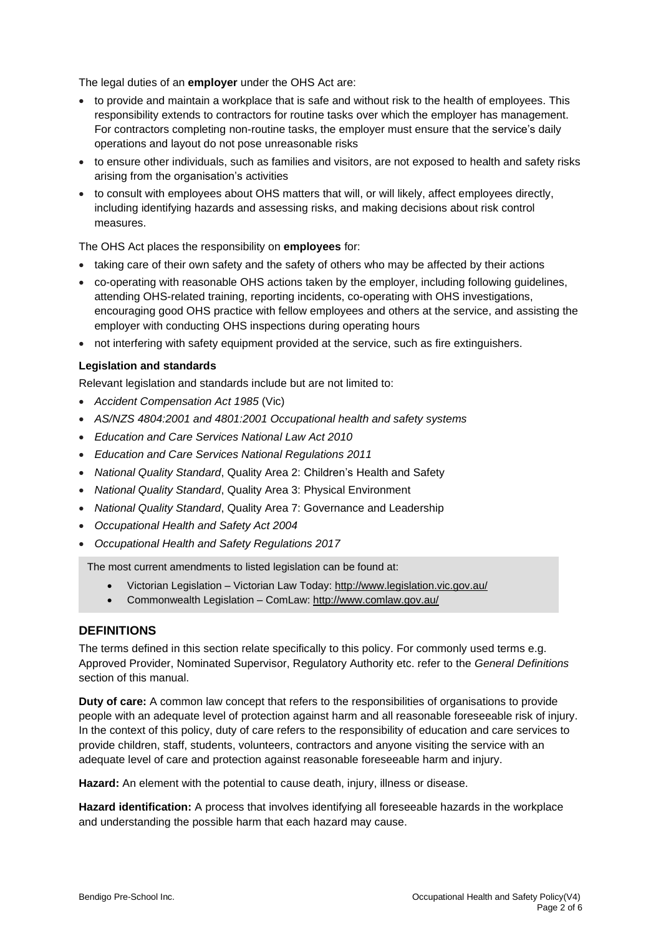The legal duties of an **employer** under the OHS Act are:

- to provide and maintain a workplace that is safe and without risk to the health of employees. This responsibility extends to contractors for routine tasks over which the employer has management. For contractors completing non-routine tasks, the employer must ensure that the service's daily operations and layout do not pose unreasonable risks
- to ensure other individuals, such as families and visitors, are not exposed to health and safety risks arising from the organisation's activities
- to consult with employees about OHS matters that will, or will likely, affect employees directly, including identifying hazards and assessing risks, and making decisions about risk control measures.

The OHS Act places the responsibility on **employees** for:

- taking care of their own safety and the safety of others who may be affected by their actions
- co-operating with reasonable OHS actions taken by the employer, including following guidelines, attending OHS-related training, reporting incidents, co-operating with OHS investigations, encouraging good OHS practice with fellow employees and others at the service, and assisting the employer with conducting OHS inspections during operating hours
- not interfering with safety equipment provided at the service, such as fire extinguishers.

#### **Legislation and standards**

Relevant legislation and standards include but are not limited to:

- *Accident Compensation Act 1985* (Vic)
- *AS/NZS 4804:2001 and 4801:2001 Occupational health and safety systems*
- *Education and Care Services National Law Act 2010*
- *Education and Care Services National Regulations 2011*
- *National Quality Standard*, Quality Area 2: Children's Health and Safety
- *National Quality Standard*, Quality Area 3: Physical Environment
- *National Quality Standard*, Quality Area 7: Governance and Leadership
- *Occupational Health and Safety Act 2004*
- *Occupational Health and Safety Regulations 2017*

The most current amendments to listed legislation can be found at:

- Victorian Legislation Victorian Law Today: <http://www.legislation.vic.gov.au/>
- Commonwealth Legislation ComLaw: <http://www.comlaw.gov.au/>

#### **DEFINITIONS**

The terms defined in this section relate specifically to this policy. For commonly used terms e.g. Approved Provider, Nominated Supervisor, Regulatory Authority etc. refer to the *General Definitions* section of this manual.

**Duty of care:** A common law concept that refers to the responsibilities of organisations to provide people with an adequate level of protection against harm and all reasonable foreseeable risk of injury. In the context of this policy, duty of care refers to the responsibility of education and care services to provide children, staff, students, volunteers, contractors and anyone visiting the service with an adequate level of care and protection against reasonable foreseeable harm and injury.

**Hazard:** An element with the potential to cause death, injury, illness or disease.

**Hazard identification:** A process that involves identifying all foreseeable hazards in the workplace and understanding the possible harm that each hazard may cause.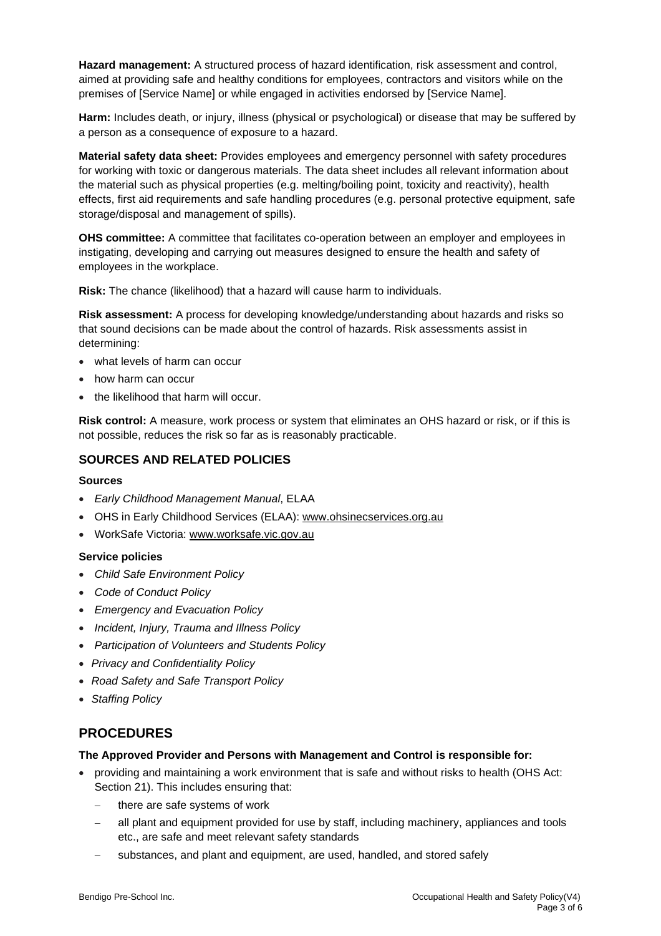**Hazard management:** A structured process of hazard identification, risk assessment and control, aimed at providing safe and healthy conditions for employees, contractors and visitors while on the premises of [Service Name] or while engaged in activities endorsed by [Service Name].

**Harm:** Includes death, or injury, illness (physical or psychological) or disease that may be suffered by a person as a consequence of exposure to a hazard.

**Material safety data sheet:** Provides employees and emergency personnel with safety procedures for working with toxic or dangerous materials. The data sheet includes all relevant information about the material such as physical properties (e.g. melting/boiling point, toxicity and reactivity), health effects, first aid requirements and safe handling procedures (e.g. personal protective equipment, safe storage/disposal and management of spills).

**OHS committee:** A committee that facilitates co-operation between an employer and employees in instigating, developing and carrying out measures designed to ensure the health and safety of employees in the workplace.

**Risk:** The chance (likelihood) that a hazard will cause harm to individuals.

**Risk assessment:** A process for developing knowledge/understanding about hazards and risks so that sound decisions can be made about the control of hazards. Risk assessments assist in determining:

- what levels of harm can occur
- how harm can occur
- the likelihood that harm will occur.

**Risk control:** A measure, work process or system that eliminates an OHS hazard or risk, or if this is not possible, reduces the risk so far as is reasonably practicable.

### **SOURCES AND RELATED POLICIES**

#### **Sources**

- *Early Childhood Management Manual*, ELAA
- OHS in Early Childhood Services (ELAA): [www.ohsinecservices.org.au](http://www.ohsinecservices.org.au/)
- WorkSafe Victoria: [www.worksafe.vic.gov.au](http://www.worksafe.vic.gov.au/)

#### **Service policies**

- *Child Safe Environment Policy*
- *Code of Conduct Policy*
- *Emergency and Evacuation Policy*
- *Incident, Injury, Trauma and Illness Policy*
- *Participation of Volunteers and Students Policy*
- *Privacy and Confidentiality Policy*
- *Road Safety and Safe Transport Policy*
- *Staffing Policy*

# **PROCEDURES**

#### **The Approved Provider and Persons with Management and Control is responsible for:**

- providing and maintaining a work environment that is safe and without risks to health (OHS Act: Section 21). This includes ensuring that:
	- there are safe systems of work
	- all plant and equipment provided for use by staff, including machinery, appliances and tools etc., are safe and meet relevant safety standards
	- substances, and plant and equipment, are used, handled, and stored safely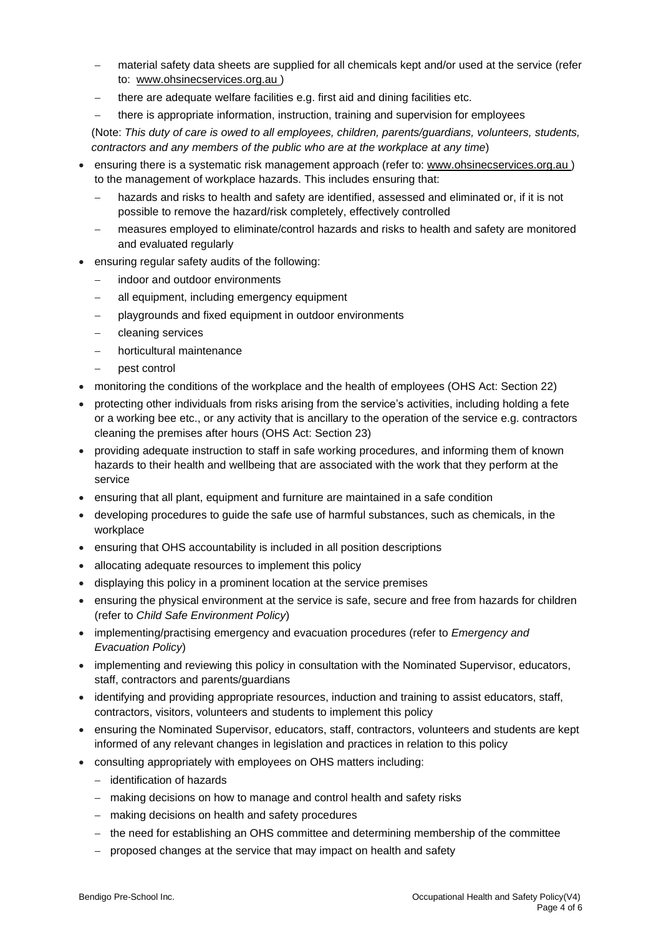- material safety data sheets are supplied for all chemicals kept and/or used at the service (refer to: [www.ohsinecservices.org.au](http://www.ohsinecservices.org.au/) )
- there are adequate welfare facilities e.g. first aid and dining facilities etc.
- there is appropriate information, instruction, training and supervision for employees
- (Note: *This duty of care is owed to all employees, children, parents/guardians, volunteers, students, contractors and any members of the public who are at the workplace at any time*)
- ensuring there is a systematic risk management approach (refer to: [www.ohsinecservices.org.au](http://www.ohsinecservices.org.au/) ) to the management of workplace hazards. This includes ensuring that:
	- hazards and risks to health and safety are identified, assessed and eliminated or, if it is not possible to remove the hazard/risk completely, effectively controlled
	- − measures employed to eliminate/control hazards and risks to health and safety are monitored and evaluated regularly
- ensuring regular safety audits of the following:
	- indoor and outdoor environments
	- all equipment, including emergency equipment
	- playgrounds and fixed equipment in outdoor environments
	- − cleaning services
	- − horticultural maintenance
		- − pest control
- monitoring the conditions of the workplace and the health of employees (OHS Act: Section 22)
- protecting other individuals from risks arising from the service's activities, including holding a fete or a working bee etc., or any activity that is ancillary to the operation of the service e.g. contractors cleaning the premises after hours (OHS Act: Section 23)
- providing adequate instruction to staff in safe working procedures, and informing them of known hazards to their health and wellbeing that are associated with the work that they perform at the service
- ensuring that all plant, equipment and furniture are maintained in a safe condition
- developing procedures to guide the safe use of harmful substances, such as chemicals, in the workplace
- ensuring that OHS accountability is included in all position descriptions
- allocating adequate resources to implement this policy
- displaying this policy in a prominent location at the service premises
- ensuring the physical environment at the service is safe, secure and free from hazards for children (refer to *Child Safe Environment Policy*)
- implementing/practising emergency and evacuation procedures (refer to *Emergency and Evacuation Policy*)
- implementing and reviewing this policy in consultation with the Nominated Supervisor, educators, staff, contractors and parents/guardians
- identifying and providing appropriate resources, induction and training to assist educators, staff, contractors, visitors, volunteers and students to implement this policy
- ensuring the Nominated Supervisor, educators, staff, contractors, volunteers and students are kept informed of any relevant changes in legislation and practices in relation to this policy
- consulting appropriately with employees on OHS matters including:
	- − identification of hazards
	- − making decisions on how to manage and control health and safety risks
	- − making decisions on health and safety procedures
	- − the need for establishing an OHS committee and determining membership of the committee
	- − proposed changes at the service that may impact on health and safety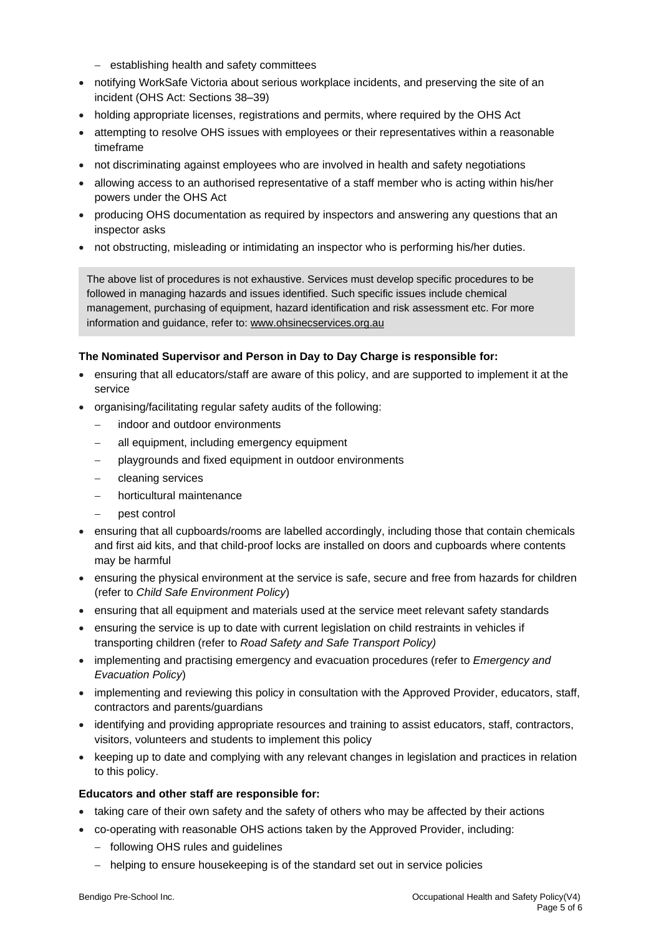- − establishing health and safety committees
- notifying WorkSafe Victoria about serious workplace incidents, and preserving the site of an incident (OHS Act: Sections 38–39)
- holding appropriate licenses, registrations and permits, where required by the OHS Act
- attempting to resolve OHS issues with employees or their representatives within a reasonable timeframe
- not discriminating against employees who are involved in health and safety negotiations
- allowing access to an authorised representative of a staff member who is acting within his/her powers under the OHS Act
- producing OHS documentation as required by inspectors and answering any questions that an inspector asks
- not obstructing, misleading or intimidating an inspector who is performing his/her duties.

The above list of procedures is not exhaustive. Services must develop specific procedures to be followed in managing hazards and issues identified. Such specific issues include chemical management, purchasing of equipment, hazard identification and risk assessment etc. For more information and guidance, refer to: [www.ohsinecservices.org.au](http://www.ohsinecservices.org.au/)

#### **The Nominated Supervisor and Person in Day to Day Charge is responsible for:**

- ensuring that all educators/staff are aware of this policy, and are supported to implement it at the service
- organising/facilitating regular safety audits of the following:
	- indoor and outdoor environments
	- all equipment, including emergency equipment
	- playgrounds and fixed equipment in outdoor environments
	- − cleaning services
	- − horticultural maintenance
	- − pest control
- ensuring that all cupboards/rooms are labelled accordingly, including those that contain chemicals and first aid kits, and that child-proof locks are installed on doors and cupboards where contents may be harmful
- ensuring the physical environment at the service is safe, secure and free from hazards for children (refer to *Child Safe Environment Policy*)
- ensuring that all equipment and materials used at the service meet relevant safety standards
- ensuring the service is up to date with current legislation on child restraints in vehicles if transporting children (refer to *Road Safety and Safe Transport Policy)*
- implementing and practising emergency and evacuation procedures (refer to *Emergency and Evacuation Policy*)
- implementing and reviewing this policy in consultation with the Approved Provider, educators, staff, contractors and parents/guardians
- identifying and providing appropriate resources and training to assist educators, staff, contractors, visitors, volunteers and students to implement this policy
- keeping up to date and complying with any relevant changes in legislation and practices in relation to this policy.

#### **Educators and other staff are responsible for:**

- taking care of their own safety and the safety of others who may be affected by their actions
- co-operating with reasonable OHS actions taken by the Approved Provider, including:
	- − following OHS rules and guidelines
	- − helping to ensure housekeeping is of the standard set out in service policies